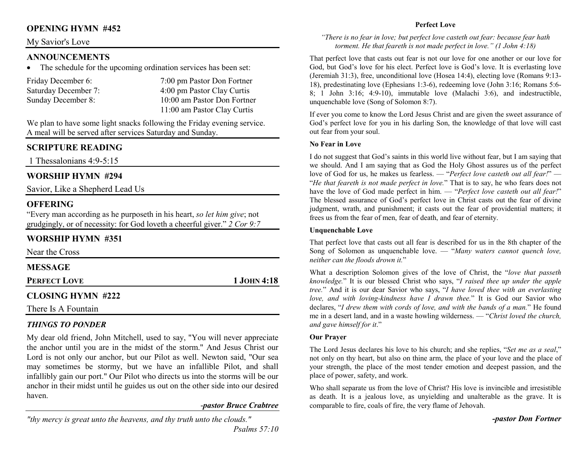## **OPENING HYMN #452**

### My Savior's Love

## **ANNOUNCEMENTS**

 The schedule for the upcoming ordination services has been set: •

| Friday December 6:   | 7:00 pm Pastor Don Fortner  |
|----------------------|-----------------------------|
| Saturday December 7: | 4:00 pm Pastor Clay Curtis  |
| Sunday December 8:   | 10:00 am Pastor Don Fortner |
|                      | 11:00 am Pastor Clay Curtis |

We plan to have some light snacks following the Friday evening service. A meal will be served after services Saturday and Sunday.

## **SCRIPTURE READING**

1 Thessalonians 4:9-5:15

## **WORSHIP HYMN #294**

Savior, Like a Shepherd Lead Us

## **OFFERING**

 "Every man according as he purposeth in his heart, *so let him give*; not grudgingly, or of necessity: for God loveth a cheerful giver." *2 Cor 9:7*

## **WORSHIP HYMN #351**

| Near the Cross           |               |
|--------------------------|---------------|
| <b>MESSAGE</b>           |               |
| <b>PERFECT LOVE</b>      | $1$ JOHN 4:18 |
| <b>CLOSING HYMN #222</b> |               |

There Is A Fountain

## *THINGS TO PONDER*

 My dear old friend, John Mitchell, used to say, "You will never appreciate the anchor until you are in the midst of the storm." And Jesus Christ our Lord is not only our anchor, but our Pilot as well. Newton said, "Our sea may sometimes be stormy, but we have an infallible Pilot, and shall infallibly gain our port." Our Pilot who directs us into the storms will be our anchor in their midst until he guides us out on the other side into our desired haven.

#### -*pastor Bruce Crabtree*

#### **Perfect Love**

#### *"There is no fear in love; but perfect love casteth out fear: because fear hath torment. He that feareth is not made perfect in love." (1 John 4:18)*

That perfect love that casts out fear is not our love for one another or our love for God, but God's love for his elect. Perfect love is God's love. It is everlasting love (Jeremiah 31:3), free, unconditional love (Hosea 14:4), electing love (Romans 9:13- 18), predestinating love (Ephesians 1:3-6), redeeming love (John 3:16; Romans 5:6- 8; 1 John 3:16; 4:9-10), immutable love (Malachi 3:6), and indestructible, unquenchable love (Song of Solomon 8:7).

If ever you come to know the Lord Jesus Christ and are given the sweet assurance of God's perfect love for you in his darling Son, the knowledge of that love will cast out fear from your soul.

#### **No Fear in Love**

I do not suggest that God's saints in this world live without fear, but I am saying that we should. And I am saying that as God the Holy Ghost assures us of the perfect love of God for us, he makes us fearless. — "*Perfect love casteth out all fear!*" — "*He that feareth is not made perfect in love.*" That is to say, he who fears does not have the love of God made perfect in him. — "*Perfect love casteth out all fear!*" The blessed assurance of God's perfect love in Christ casts out the fear of divine judgment, wrath, and punishment; it casts out the fear of providential matters; it frees us from the fear of men, fear of death, and fear of eternity.

#### **Unquenchable Love**

That perfect love that casts out all fear is described for us in the 8th chapter of the Song of Solomon as unquenchable love. — "*Many waters cannot quench love, neither can the floods drown it.*"

What a description Solomon gives of the love of Christ, the "*love that passeth knowledge.*" It is our blessed Christ who says, "*I raised thee up under the apple tree.*" And it is our dear Savior who says, "*I have loved thee with an everlasting love, and with loving-kindness have I drawn thee.*" It is God our Savior who declares, "*I drew them with cords of love, and with the bands of a man.*" He found me in a desert land, and in a waste howling wilderness. — "*Christ loved the church, and gave himself for it*."

#### **Our Prayer**

The Lord Jesus declares his love to his church; and she replies, "*Set me as a seal*," not only on thy heart, but also on thine arm, the place of your love and the place of your strength, the place of the most tender emotion and deepest passion, and the place of power, safety, and work.

Who shall separate us from the love of Christ? His love is invincible and irresistible as death. It is a jealous love, as unyielding and unalterable as the grave. It is comparable to fire, coals of fire, the very flame of Jehovah.

*-pastor Don Fortner*